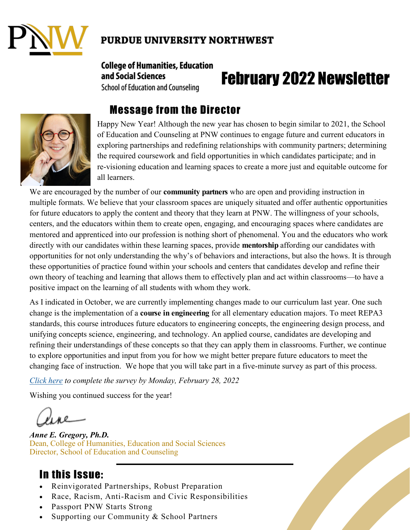

#### **PURDUE UNIVERSITY NORTHWEST**

#### **College of Humanities, Education** and Social Sciences **School of Education and Counseling**

# February 2022 Newsletter



# Message from the Director

Happy New Year! Although the new year has chosen to begin similar to 2021, the School of Education and Counseling at PNW continues to engage future and current educators in exploring partnerships and redefining relationships with community partners; determining the required coursework and field opportunities in which candidates participate; and in re-visioning education and learning spaces to create a more just and equitable outcome for all learners.

We are encouraged by the number of our **community partners** who are open and providing instruction in multiple formats. We believe that your classroom spaces are uniquely situated and offer authentic opportunities for future educators to apply the content and theory that they learn at PNW. The willingness of your schools, centers, and the educators within them to create open, engaging, and encouraging spaces where candidates are mentored and apprenticed into our profession is nothing short of phenomenal. You and the educators who work directly with our candidates within these learning spaces, provide **mentorship** affording our candidates with opportunities for not only understanding the why's of behaviors and interactions, but also the hows. It is through these opportunities of practice found within your schools and centers that candidates develop and refine their own theory of teaching and learning that allows them to effectively plan and act within classrooms—to have a positive impact on the learning of all students with whom they work.

As I indicated in October, we are currently implementing changes made to our curriculum last year. One such change is the implementation of a **course in engineering** for all elementary education majors. To meet REPA3 standards, this course introduces future educators to engineering concepts, the engineering design process, and unifying concepts science, engineering, and technology. An applied course, candidates are developing and refining their understandings of these concepts so that they can apply them in classrooms. Further, we continue to explore opportunities and input from you for how we might better prepare future educators to meet the changing face of instruction. We hope that you will take part in a five-minute survey as part of this process.

*[Click here](https://purdue.ca1.qualtrics.com/jfe/form/SV_3kgY7VYbLQNa8uO) to complete the survey by Monday, February 28, 2022*

Wishing you continued success for the year!

*Anne E. Gregory, Ph.D.* Dean, College of Humanities, Education and Social Sciences Director, School of Education and Counseling

### In this Issue:

- Reinvigorated Partnerships, Robust Preparation
- Race, Racism, Anti-Racism and Civic Responsibilities
- Passport PNW Starts Strong
- Supporting our Community & School Partners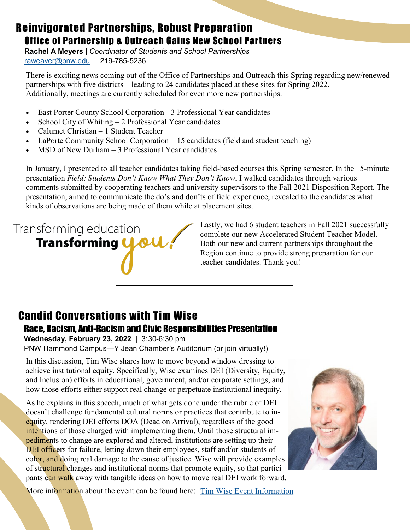### Reinvigorated Partnerships, Robust Preparation Office of Partnership & Outreach Gains New School Partners

**Rachel A Meyers** | *Coordinator of Students and School Partnerships* [raweaver@pnw.edu](mailto:raweaver@pnw.edu?subject=Accelerated%20Student%20Teaching) | 219-785-5236

There is exciting news coming out of the Office of Partnerships and Outreach this Spring regarding new/renewed partnerships with five districts—leading to 24 candidates placed at these sites for Spring 2022. Additionally, meetings are currently scheduled for even more new partnerships.

- East Porter County School Corporation 3 Professional Year candidates
- School City of Whiting  $-2$  Professional Year candidates
- Calumet Christian 1 Student Teacher
- LaPorte Community School Corporation 15 candidates (field and student teaching)
- MSD of New Durham 3 Professional Year candidates

In January, I presented to all teacher candidates taking field-based courses this Spring semester. In the 15-minute presentation *Field: Students Don't Know What They Don't Know*, I walked candidates through various comments submitted by cooperating teachers and university supervisors to the Fall 2021 Disposition Report. The presentation, aimed to communicate the do's and don'ts of field experience, revealed to the candidates what kinds of observations are being made of them while at placement sites.

# Transforming education **Transforming 4.04**

Lastly, we had 6 student teachers in Fall 2021 successfully complete our new Accelerated Student Teacher Model. Both our new and current partnerships throughout the Region continue to provide strong preparation for our teacher candidates. Thank you!

## Candid Conversations with Tim Wise Race, Racism, Anti-Racism and Civic Responsibilities Presentation

**Wednesday, February 23, 2022 |** 3:30-6:30 pm PNW Hammond Campus—Y Jean Chamber's Auditorium (or join virtually!)

In this discussion, Tim Wise shares how to move beyond window dressing to achieve institutional equity. Specifically, Wise examines DEI (Diversity, Equity, and Inclusion) efforts in educational, government, and/or corporate settings, and how those efforts either support real change or perpetuate institutional inequity.

As he explains in this speech, much of what gets done under the rubric of DEI doesn't challenge fundamental cultural norms or practices that contribute to inequity, rendering DEI efforts DOA (Dead on Arrival), regardless of the good intentions of those charged with implementing them. Until those structural impediments to change are explored and altered, institutions are setting up their DEI officers for failure, letting down their employees, staff and/or students of color, and doing real damage to the cause of justice. Wise will provide examples of structural changes and institutional norms that promote equity, so that participants can walk away with tangible ideas on how to move real DEI work forward.



More information about the event can be found here: [Tim Wise Event Information](https://www.pnw.edu/event/race-racism-anti-racism-and-civic-responsibilities-candid-conversations-with-tim-wise-on-the-hammond-campus/)